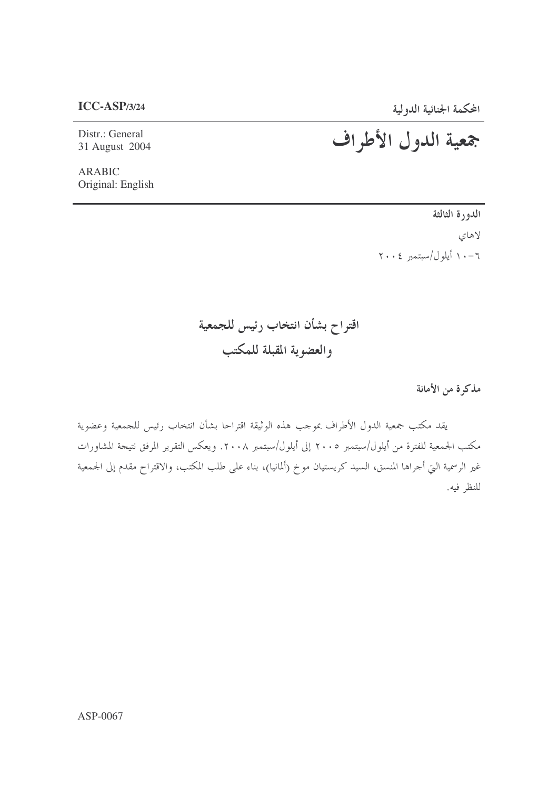$ICC-ASP/3/24$ 

Distr.: General 31 August 2004 المحكمة الجنائية الدولية<br>جمعية اللدول الأطراف

**ARABIC** Original: English

> الدورة الثالثة لاهاي ٦-١٠ أيلول/سبتمبر ٢٠٠٤

اقتراح بشأن انتخاب رئيس للجمعية والعضوية المقبلة للمكتب

مذكرة من الأمانة

يقد مكتب جمعية الدول الأطراف بموحب هذه الوثيقة اقتراحا بشأن انتخاب رئيس للجمعية وعضوية مكتب الجمعية للفترة من أيلول/سبتمبر ٢٠٠٥ إلى أيلول/سبتمبر ٢٠٠٨. ويعكس التقرير المرفق نتيجة المشاورات غير الرسمية التي أحراها المنسق، السيد كريستيان موخ (ألمانيا)، بناء على طلب المكتب، والاقتراح مقدم إلى الجمعية للنظر فيه.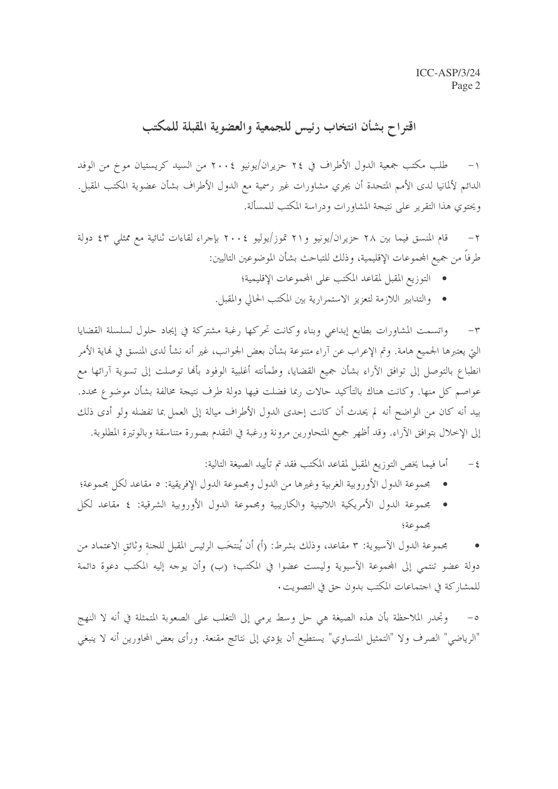## اقتراح بشأن انتخاب رئيس للجمعية والعضوية المقبلة للمكتب

طلب مكتب جمعية الدول الأطراف في ٢٤ حزيران/يونيو ٢٠٠٤ من السيد كريستيان موخ من الوفد  $-1$ الدائم لألمانيا لدى الأمم المتحدة أن يجري مشاورات غير رسمية مع الدول الأطراف بشأن عضوية المكتب المقبل. ويحتوى هذا التقرير على نتيجة المشاورات ودراسة المكتب للمسألة.

قام المنسق فيما بين ٢٨ حزيران/يونيو و٢١ تموز/يوليو ٢٠٠٤ بإجراء لقاءات ثنائية مع ممثلي ٤٣ دولة  $-\tau$ طرفاً من جميع المحموعات الإقليمية، وذلك للتباحث بشأن الموضوعين التاليين:

- التوزيع المقبل لمقاعد المكتب على المحموعات الإقليمية؛
- والتدابير اللازمة لتعزيز الاستمرارية بين المكتب الحالي والمقبل.

واتسمت المشاورات بطابع إبداعي وبناء وكانت تحركها رغبة مشتركة في إيجاد حلول لسلسلة القضايا  $-\tau$ التي يعتبرها الجميع هامة. وتم الإعراب عن آراء متنوعة بشأن بعض الجوانب، غير أنه نشأ لدى المنسق في نماية الأمر انطباع بالتوصل إلى توافق الآراء بشأن جميع القضايا، وطمأنته أغلبية الوفود بألها توصلت إلى تسوية آرائها مع عواصم كل منها. وكانت هناك بالتأكيد حالات ربما فضلت فيها دولة طرف نتيجة مخالفة بشأن موضوع محدد. بيد أنه كان من الواضح أنه لم يحدث أن كانت إحدى الدول الأطراف ميالة إلى العمل بما تفضله ولو أدى ذلك إلى الإخلال بتوافق الآراء. وقد أظهر جميع المتحاورين مرونة ورغبة في التقدم بصورة متناسقة وبالوتيرة المطلوبة.

- أما فيما يخص التوزيع المقبل لمقاعد المكتب فقد تم تأييد الصيغة التالية:  $-\xi$
- 
- مجمه عة؛

مجموعة الدول الآسيوية: ٣ مقاعد، وذلك بشرط: (أ) أن يُنتخَب الرئيس المقبل للجنة وثائق الاعتماد من دولة عضو تنتمي إلى المجموعة الآسيوية وليست عضوا في المكتب؛ (ب) وأن يوجه إليه المكتب دعوة دائمة للمشا, كة في اجتماعات المكتب بدون حق في التصويت.

وتجدر الملاحظة بأن هذه الصيغة هي حل وسط يرمي إلى التغلب على الصعوبة المتمثلة في أنه لا النهج  $-\circ$ "الرياضي" الصرف ولا "التمثيل المتساوي" يستطيع أن يؤدي إلى نتائج مقنعة. ورأى بعض المحاورين أنه لا ينبغي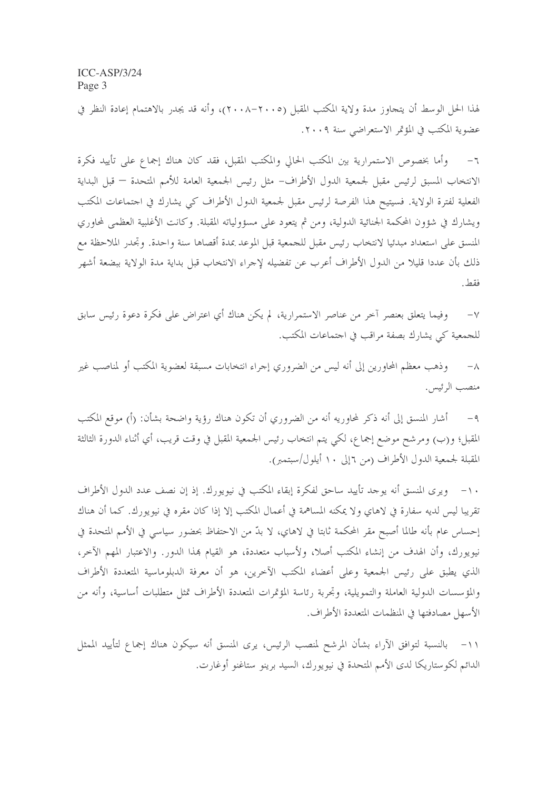لهذا الحل الوسط أن يتجاوز مدة ولاية المكتب المقبل (٢٠٠٥-٢٠٠٨)، وأنه قد يجدر بالاهتمام إعادة النظر في عضوية المكتب في المؤتمر الاستعراضي سنة ٢٠٠٩.

وأما بخصوص الاستمرارية بين المكتب الحالي والمكتب المقبل، فقد كان هناك إجماع على تأييد فكرة  $-\mathcal{I}$ الانتخاب المسبق لرئيس مقبل لجمعية الدول الأطراف- مثل رئيس الجمعية العامة للأمم المتحدة — قبل البداية الفعلية لفترة الولاية. فسيتيح هذا الفرصة لرئيس مقبل لجمعية الدول الأطراف كي يشارك في احتماعات المكتب ويشارك في شؤون المحكمة الجنائية الدولية، ومن ثم يتعود على مسؤولياته المقبلة. وكانت الأغلبية العظمى لمحاوري المنسق على استعداد مبدئيا لانتخاب رئيس مقبل للجمعية قبل الموعد بمدة أقصاها سنة واحدة. وتجدر الملاحظة مع ذلك بأن عددا قليلا من الدول الأطراف أعرب عن تفضيله لإجراء الانتخاب قبل بداية مدة الولاية ببضعة أشهر فقط

وفيما يتعلق بعنصر آخر من عناصر الاستمرارية، لم يكن هناك أي اعتراض على فكرة دعوة رئيس سابق  $-\vee$ للجمعية كي يشارك بصفة مراقب في اجتماعات المكتب.

وذهب معظم المحاورين إلى أنه ليس من الضروري إجراء انتخابات مسبقة لعضوية المكتب أو لمناصب غير  $-\lambda$ منصب الرئيس.

أشار المنسق إلى أنه ذكر لمحاوريه أنه من الضروري أن تكون هناك رؤية واضحة بشأن: (أ) موقع المكتب  $-9$ المقبل؛ و(ب) ومرشح موضع إجماع، لكي يتم انتخاب رئيس الجمعية المقبل في وقت قريب، أي أثناء الدورة الثالثة المقبلة لجمعية الدول الأطراف (من ٦إلى ١٠ أيلول/سبتمبر).

١٠- ويرى المنسق أنه يوجد تأييد ساحق لفكرة إبقاء المكتب في نيويورك. إذ إن نصف عدد الدول الأطراف تقريبا ليس لديه سفارة في لاهاي ولا يمكنه المساهمة في أعمال المكتب إلا إذا كان مقره في نيويورك. كما أن هناك إحساس عام بأنه طالما أصبح مقر المحكمة ثابتا في لاهاي، لا بدّ من الاحتفاظ بحضور سياسي في الأمم المتحدة في نيويورك، وأن الهدف من إنشاء المكتب أصلا، ولأسباب متعددة، هو القيام هذا الدور. والاعتبار المهم الآخر، الذي يطبق على رئيس الجمعية وعلى أعضاء المكتب الآخرين، هو أن معرفة الدبلوماسية المتعددة الأطراف والمؤسسات الدولية العاملة والتمويلية، وتجربة رئاسة المؤتمرات المتعددة الأطراف تمثل متطلبات أساسية، وأنه من الأسهل مصادفتها في المنظمات المتعددة الأطراف.

١١– بالنسبة لتوافق الآراء بشأن المرشح لمنصب الرئيس، يرى المنسق أنه سيكون هناك إجماع لتأييد الممثل الدائم لكوستاريكا لدى الأمم المتحدة في نيويورك، السيد برينو ستاغنو أوغارت.